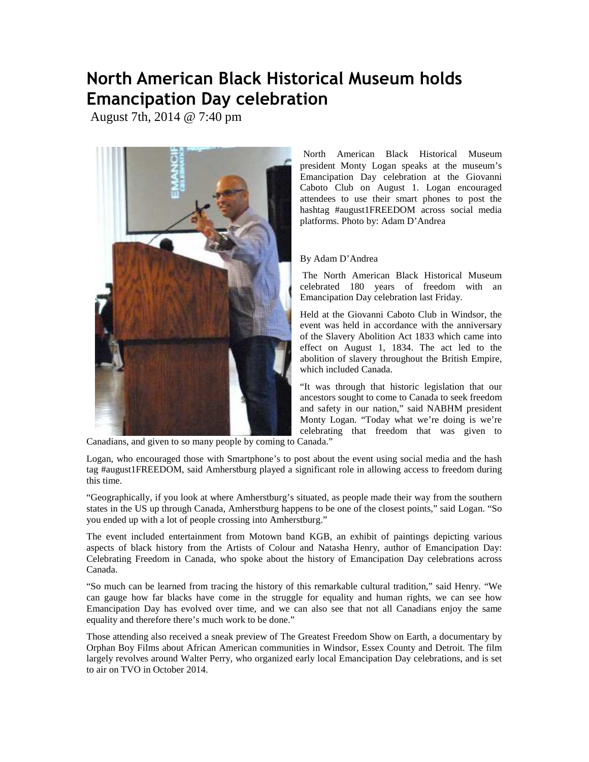## North American Black Historical Museum holds Emancipation Day celebration

August 7th, 2014 @ 7:40 pm



North American Black Historical Museum president Monty Logan speaks at the museum's Emancipation Day celebration at the Giovanni Caboto Club on August 1. Logan encouraged attendees to use their smart phones to post the hashtag #august1FREEDOM across social media platforms. Photo by: Adam D'Andrea

## By Adam D'Andrea

 The North American Black Historical Museum celebrated 180 years of freedom with an Emancipation Day celebration last Friday.

Held at the Giovanni Caboto Club in Windsor, the event was held in accordance with the anniversary of the Slavery Abolition Act 1833 which came into effect on August 1, 1834. The act led to the abolition of slavery throughout the British Empire, which included Canada.

"It was through that historic legislation that our ancestors sought to come to Canada to seek freedom and safety in our nation," said NABHM president Monty Logan. "Today what we're doing is we're celebrating that freedom that was given to

Canadians, and given to so many people by coming to Canada."

Logan, who encouraged those with Smartphone's to post about the event using social media and the hash tag #august1FREEDOM, said Amherstburg played a significant role in allowing access to freedom during this time.

"Geographically, if you look at where Amherstburg's situated, as people made their way from the southern states in the US up through Canada, Amherstburg happens to be one of the closest points," said Logan. "So you ended up with a lot of people crossing into Amherstburg."

The event included entertainment from Motown band KGB, an exhibit of paintings depicting various aspects of black history from the Artists of Colour and Natasha Henry, author of Emancipation Day: Celebrating Freedom in Canada, who spoke about the history of Emancipation Day celebrations across Canada.

"So much can be learned from tracing the history of this remarkable cultural tradition," said Henry. "We can gauge how far blacks have come in the struggle for equality and human rights, we can see how Emancipation Day has evolved over time, and we can also see that not all Canadians enjoy the same equality and therefore there's much work to be done."

Those attending also received a sneak preview of The Greatest Freedom Show on Earth, a documentary by Orphan Boy Films about African American communities in Windsor, Essex County and Detroit. The film largely revolves around Walter Perry, who organized early local Emancipation Day celebrations, and is set to air on TVO in October 2014.